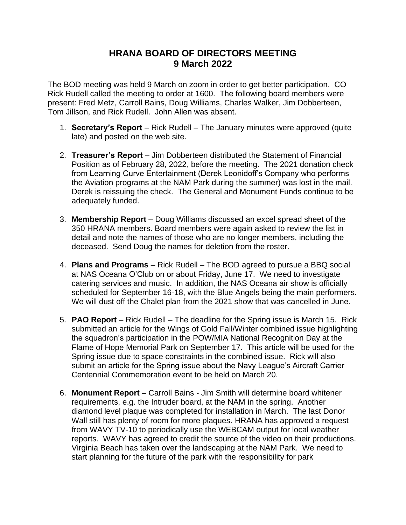## **HRANA BOARD OF DIRECTORS MEETING 9 March 2022**

The BOD meeting was held 9 March on zoom in order to get better participation. CO Rick Rudell called the meeting to order at 1600. The following board members were present: Fred Metz, Carroll Bains, Doug Williams, Charles Walker, Jim Dobberteen, Tom Jillson, and Rick Rudell. John Allen was absent.

- 1. **Secretary's Report** Rick Rudell The January minutes were approved (quite late) and posted on the web site.
- 2. **Treasurer's Report** Jim Dobberteen distributed the Statement of Financial Position as of February 28, 2022, before the meeting. The 2021 donation check from Learning Curve Entertainment (Derek Leonidoff's Company who performs the Aviation programs at the NAM Park during the summer) was lost in the mail. Derek is reissuing the check. The General and Monument Funds continue to be adequately funded.
- 3. **Membership Report** Doug Williams discussed an excel spread sheet of the 350 HRANA members. Board members were again asked to review the list in detail and note the names of those who are no longer members, including the deceased. Send Doug the names for deletion from the roster.
- 4. **Plans and Programs** Rick Rudell The BOD agreed to pursue a BBQ social at NAS Oceana O'Club on or about Friday, June 17. We need to investigate catering services and music. In addition, the NAS Oceana air show is officially scheduled for September 16-18, with the Blue Angels being the main performers. We will dust off the Chalet plan from the 2021 show that was cancelled in June.
- 5. **PAO Report** Rick Rudell The deadline for the Spring issue is March 15. Rick submitted an article for the Wings of Gold Fall/Winter combined issue highlighting the squadron's participation in the POW/MIA National Recognition Day at the Flame of Hope Memorial Park on September 17. This article will be used for the Spring issue due to space constraints in the combined issue. Rick will also submit an article for the Spring issue about the Navy League's Aircraft Carrier Centennial Commemoration event to be held on March 20.
- 6. **Monument Report** Carroll Bains Jim Smith will determine board whitener requirements, e.g. the Intruder board, at the NAM in the spring. Another diamond level plaque was completed for installation in March. The last Donor Wall still has plenty of room for more plaques. HRANA has approved a request from WAVY TV-10 to periodically use the WEBCAM output for local weather reports. WAVY has agreed to credit the source of the video on their productions. Virginia Beach has taken over the landscaping at the NAM Park. We need to start planning for the future of the park with the responsibility for park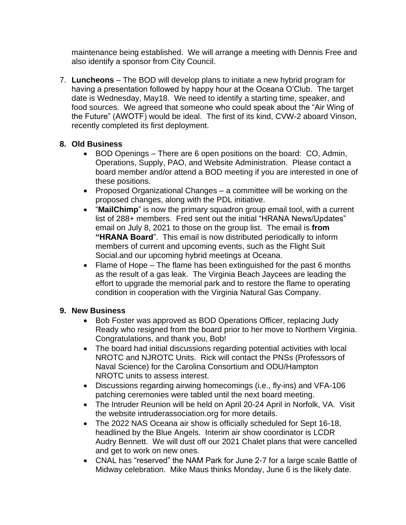maintenance being established. We will arrange a meeting with Dennis Free and also identify a sponsor from City Council.

7. **Luncheons** – The BOD will develop plans to initiate a new hybrid program for having a presentation followed by happy hour at the Oceana O'Club. The target date is Wednesday, May18. We need to identify a starting time, speaker, and food sources. We agreed that someone who could speak about the "Air Wing of the Future" (AWOTF) would be ideal. The first of its kind, CVW-2 aboard Vinson, recently completed its first deployment.

## **8. Old Business**

- BOD Openings There are 6 open positions on the board: CO, Admin, Operations, Supply, PAO, and Website Administration. Please contact a board member and/or attend a BOD meeting if you are interested in one of these positions.
- Proposed Organizational Changes a committee will be working on the proposed changes, along with the PDL initiative.
- "**MailChimp**" is now the primary squadron group email tool, with a current list of 288+ members. Fred sent out the initial "HRANA News/Updates" email on July 8, 2021 to those on the group list. The email is **from "HRANA Board**". This email is now distributed periodically to inform members of current and upcoming events, such as the Flight Suit Social.and our upcoming hybrid meetings at Oceana.
- Flame of Hope The flame has been extinguished for the past 6 months as the result of a gas leak. The Virginia Beach Jaycees are leading the effort to upgrade the memorial park and to restore the flame to operating condition in cooperation with the Virginia Natural Gas Company.

## **9. New Business**

- Bob Foster was approved as BOD Operations Officer, replacing Judy Ready who resigned from the board prior to her move to Northern Virginia. Congratulations, and thank you, Bob!
- The board had initial discussions regarding potential activities with local NROTC and NJROTC Units. Rick will contact the PNSs (Professors of Naval Science) for the Carolina Consortium and ODU/Hampton NROTC units to assess interest.
- Discussions regarding airwing homecomings (i.e., fly-ins) and VFA-106 patching ceremonies were tabled until the next board meeting.
- The Intruder Reunion will be held on April 20-24 April in Norfolk, VA. Visit the website intruderassociation.org for more details.
- The 2022 NAS Oceana air show is officially scheduled for Sept 16-18, headlined by the Blue Angels. Interim air show coordinator is LCDR Audry Bennett. We will dust off our 2021 Chalet plans that were cancelled and get to work on new ones.
- CNAL has "reserved" the NAM Park for June 2-7 for a large scale Battle of Midway celebration. Mike Maus thinks Monday, June 6 is the likely date.